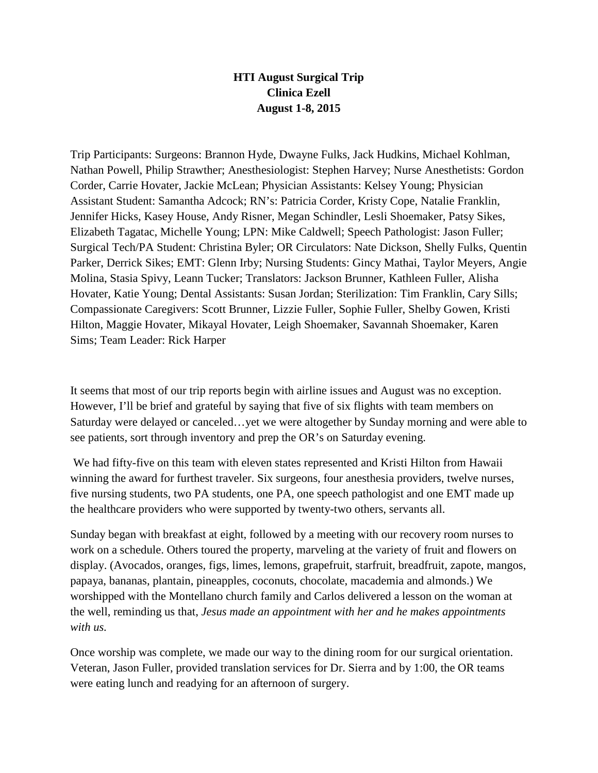## **HTI August Surgical Trip Clinica Ezell August 1-8, 2015**

Trip Participants: Surgeons: Brannon Hyde, Dwayne Fulks, Jack Hudkins, Michael Kohlman, Nathan Powell, Philip Strawther; Anesthesiologist: Stephen Harvey; Nurse Anesthetists: Gordon Corder, Carrie Hovater, Jackie McLean; Physician Assistants: Kelsey Young; Physician Assistant Student: Samantha Adcock; RN's: Patricia Corder, Kristy Cope, Natalie Franklin, Jennifer Hicks, Kasey House, Andy Risner, Megan Schindler, Lesli Shoemaker, Patsy Sikes, Elizabeth Tagatac, Michelle Young; LPN: Mike Caldwell; Speech Pathologist: Jason Fuller; Surgical Tech/PA Student: Christina Byler; OR Circulators: Nate Dickson, Shelly Fulks, Quentin Parker, Derrick Sikes; EMT: Glenn Irby; Nursing Students: Gincy Mathai, Taylor Meyers, Angie Molina, Stasia Spivy, Leann Tucker; Translators: Jackson Brunner, Kathleen Fuller, Alisha Hovater, Katie Young; Dental Assistants: Susan Jordan; Sterilization: Tim Franklin, Cary Sills; Compassionate Caregivers: Scott Brunner, Lizzie Fuller, Sophie Fuller, Shelby Gowen, Kristi Hilton, Maggie Hovater, Mikayal Hovater, Leigh Shoemaker, Savannah Shoemaker, Karen Sims; Team Leader: Rick Harper

It seems that most of our trip reports begin with airline issues and August was no exception. However, I'll be brief and grateful by saying that five of six flights with team members on Saturday were delayed or canceled…yet we were altogether by Sunday morning and were able to see patients, sort through inventory and prep the OR's on Saturday evening.

We had fifty-five on this team with eleven states represented and Kristi Hilton from Hawaii winning the award for furthest traveler. Six surgeons, four anesthesia providers, twelve nurses, five nursing students, two PA students, one PA, one speech pathologist and one EMT made up the healthcare providers who were supported by twenty-two others, servants all.

Sunday began with breakfast at eight, followed by a meeting with our recovery room nurses to work on a schedule. Others toured the property, marveling at the variety of fruit and flowers on display. (Avocados, oranges, figs, limes, lemons, grapefruit, starfruit, breadfruit, zapote, mangos, papaya, bananas, plantain, pineapples, coconuts, chocolate, macademia and almonds.) We worshipped with the Montellano church family and Carlos delivered a lesson on the woman at the well, reminding us that, *Jesus made an appointment with her and he makes appointments with us.*

Once worship was complete, we made our way to the dining room for our surgical orientation. Veteran, Jason Fuller, provided translation services for Dr. Sierra and by 1:00, the OR teams were eating lunch and readying for an afternoon of surgery.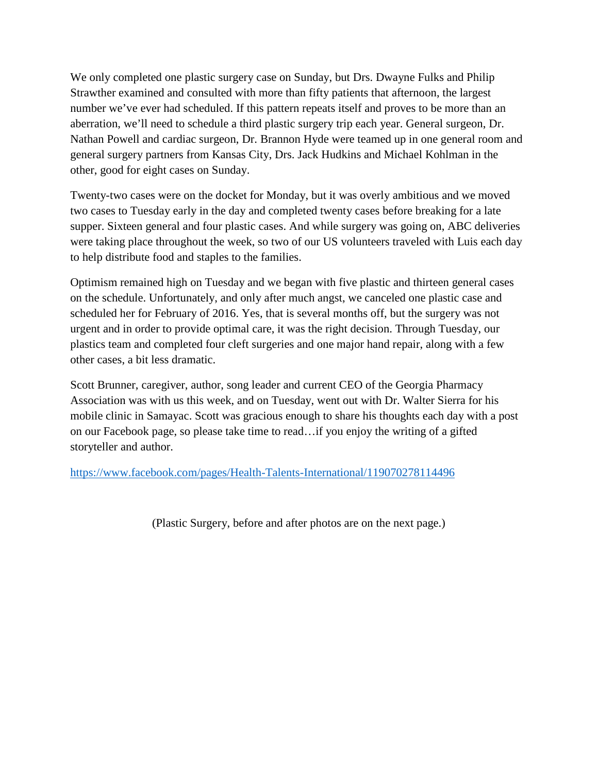We only completed one plastic surgery case on Sunday, but Drs. Dwayne Fulks and Philip Strawther examined and consulted with more than fifty patients that afternoon, the largest number we've ever had scheduled. If this pattern repeats itself and proves to be more than an aberration, we'll need to schedule a third plastic surgery trip each year. General surgeon, Dr. Nathan Powell and cardiac surgeon, Dr. Brannon Hyde were teamed up in one general room and general surgery partners from Kansas City, Drs. Jack Hudkins and Michael Kohlman in the other, good for eight cases on Sunday.

Twenty-two cases were on the docket for Monday, but it was overly ambitious and we moved two cases to Tuesday early in the day and completed twenty cases before breaking for a late supper. Sixteen general and four plastic cases. And while surgery was going on, ABC deliveries were taking place throughout the week, so two of our US volunteers traveled with Luis each day to help distribute food and staples to the families.

Optimism remained high on Tuesday and we began with five plastic and thirteen general cases on the schedule. Unfortunately, and only after much angst, we canceled one plastic case and scheduled her for February of 2016. Yes, that is several months off, but the surgery was not urgent and in order to provide optimal care, it was the right decision. Through Tuesday, our plastics team and completed four cleft surgeries and one major hand repair, along with a few other cases, a bit less dramatic.

Scott Brunner, caregiver, author, song leader and current CEO of the Georgia Pharmacy Association was with us this week, and on Tuesday, went out with Dr. Walter Sierra for his mobile clinic in Samayac. Scott was gracious enough to share his thoughts each day with a post on our Facebook page, so please take time to read…if you enjoy the writing of a gifted storyteller and author.

<https://www.facebook.com/pages/Health-Talents-International/119070278114496>

(Plastic Surgery, before and after photos are on the next page.)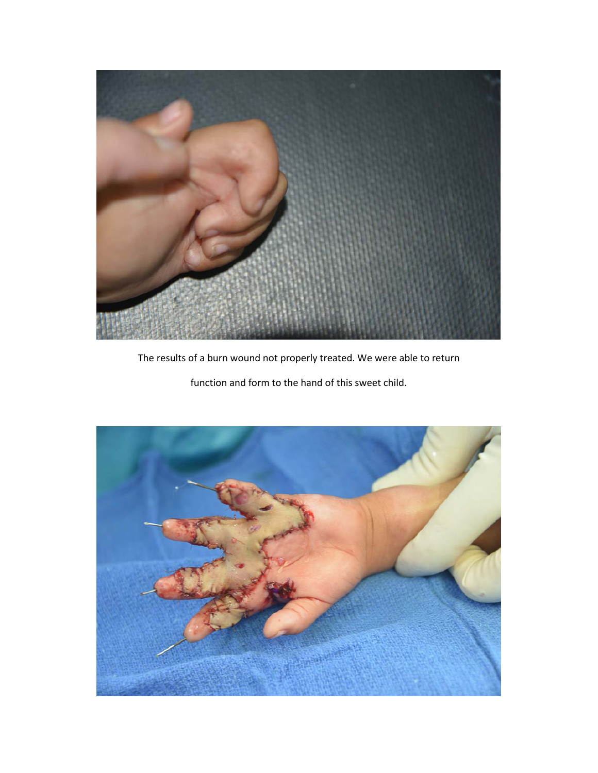

The results of a burn wound not properly treated. We were able to return

function and form to the hand of this sweet child.

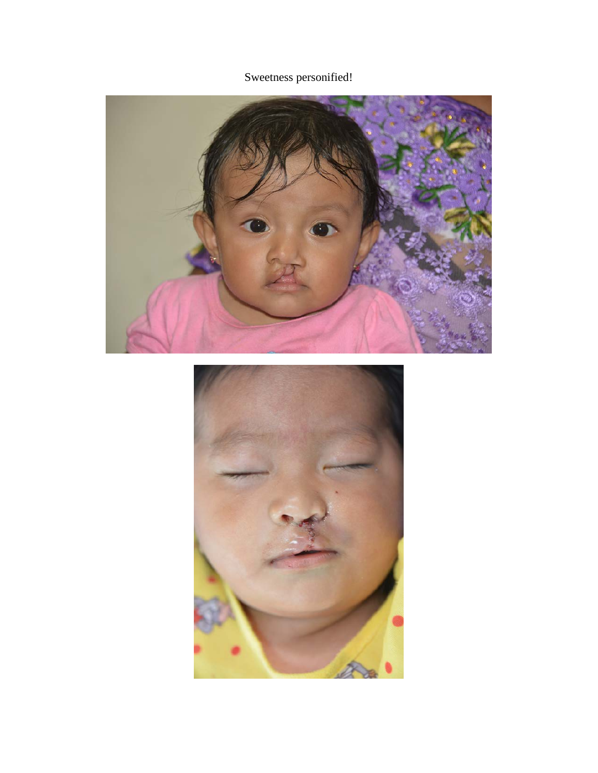Sweetness personified!



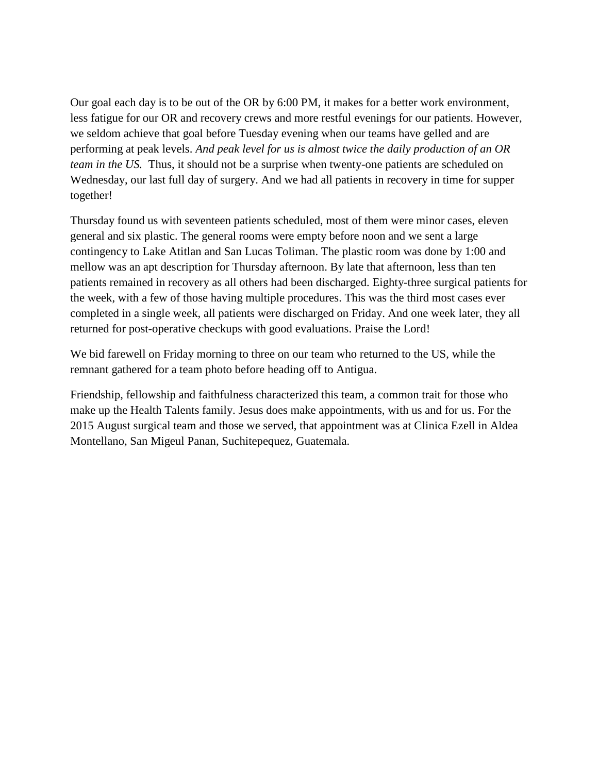Our goal each day is to be out of the OR by 6:00 PM, it makes for a better work environment, less fatigue for our OR and recovery crews and more restful evenings for our patients. However, we seldom achieve that goal before Tuesday evening when our teams have gelled and are performing at peak levels. *And peak level for us is almost twice the daily production of an OR team in the US.* Thus, it should not be a surprise when twenty-one patients are scheduled on Wednesday, our last full day of surgery. And we had all patients in recovery in time for supper together!

Thursday found us with seventeen patients scheduled, most of them were minor cases, eleven general and six plastic. The general rooms were empty before noon and we sent a large contingency to Lake Atitlan and San Lucas Toliman. The plastic room was done by 1:00 and mellow was an apt description for Thursday afternoon. By late that afternoon, less than ten patients remained in recovery as all others had been discharged. Eighty-three surgical patients for the week, with a few of those having multiple procedures. This was the third most cases ever completed in a single week, all patients were discharged on Friday. And one week later, they all returned for post-operative checkups with good evaluations. Praise the Lord!

We bid farewell on Friday morning to three on our team who returned to the US, while the remnant gathered for a team photo before heading off to Antigua.

Friendship, fellowship and faithfulness characterized this team, a common trait for those who make up the Health Talents family. Jesus does make appointments, with us and for us. For the 2015 August surgical team and those we served, that appointment was at Clinica Ezell in Aldea Montellano, San Migeul Panan, Suchitepequez, Guatemala.